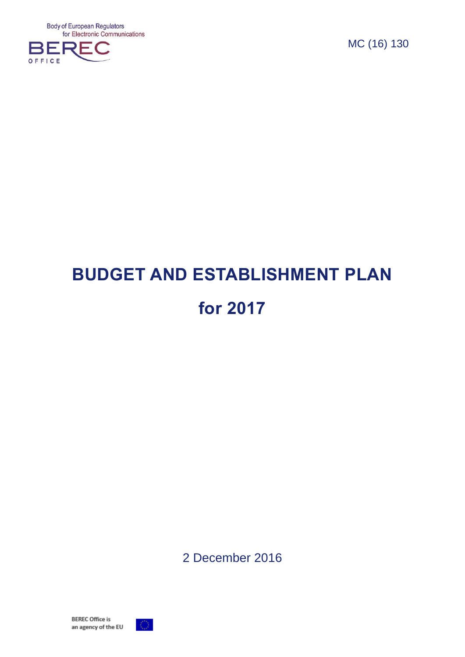**Body of European Regulators** for Electronic Communications



MC (16) 130

# **BUDGET AND ESTABLISHMENT PLAN for 2017**

2 December 2016

**BEREC Office is** an agency of the EU

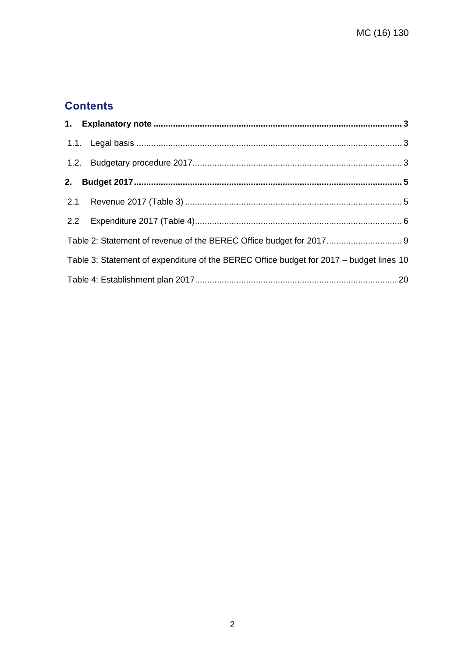# **Contents**

| Table 2: Statement of revenue of the BEREC Office budget for 2017 9                     |  |
|-----------------------------------------------------------------------------------------|--|
| Table 3: Statement of expenditure of the BEREC Office budget for 2017 - budget lines 10 |  |
|                                                                                         |  |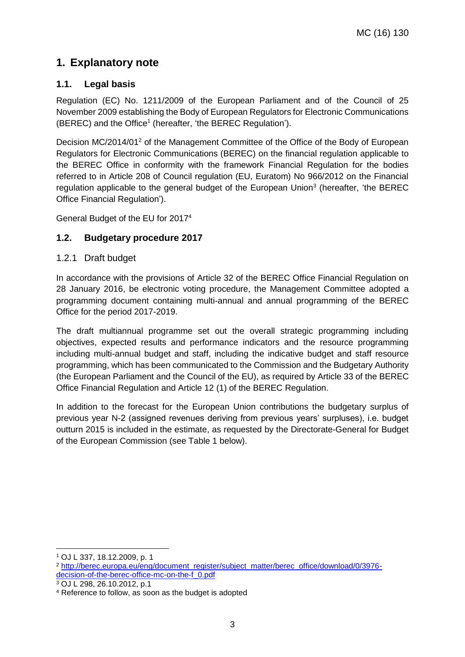# <span id="page-2-0"></span>**1. Explanatory note**

### <span id="page-2-1"></span>**1.1. Legal basis**

Regulation (EC) No. 1211/2009 of the European Parliament and of the Council of 25 November 2009 establishing the Body of European Regulators for Electronic Communications (BEREC) and the Office<sup>1</sup> (hereafter, 'the BEREC Regulation').

Decision MC/2014/01<sup>2</sup> of the Management Committee of the Office of the Body of European Regulators for Electronic Communications (BEREC) on the financial regulation applicable to the BEREC Office in conformity with the framework Financial Regulation for the bodies referred to in Article 208 of Council regulation (EU, Euratom) No 966/2012 on the Financial regulation applicable to the general budget of the European Union<sup>3</sup> (hereafter, 'the BEREC Office Financial Regulation').

General Budget of the EU for 2017<sup>4</sup>

### <span id="page-2-2"></span>**1.2. Budgetary procedure 2017**

#### 1.2.1 Draft budget

In accordance with the provisions of Article 32 of the BEREC Office Financial Regulation on 28 January 2016, be electronic voting procedure, the Management Committee adopted a programming document containing multi-annual and annual programming of the BEREC Office for the period 2017-2019.

The draft multiannual programme set out the overall strategic programming including objectives, expected results and performance indicators and the resource programming including multi-annual budget and staff, including the indicative budget and staff resource programming, which has been communicated to the Commission and the Budgetary Authority (the European Parliament and the Council of the EU), as required by Article 33 of the BEREC Office Financial Regulation and Article 12 (1) of the BEREC Regulation.

In addition to the forecast for the European Union contributions the budgetary surplus of previous year N-2 (assigned revenues deriving from previous years' surpluses), i.e. budget outturn 2015 is included in the estimate, as requested by the Directorate-General for Budget of the European Commission (see Table 1 below).

-

<sup>1</sup> OJ L 337, 18.12.2009, p. 1

<sup>2</sup> [http://berec.europa.eu/eng/document\\_register/subject\\_matter/berec\\_office/download/0/3976](http://berec.europa.eu/eng/document_register/subject_matter/berec_office/download/0/3976-decision-of-the-berec-office-mc-on-the-f_0.pdf) [decision-of-the-berec-office-mc-on-the-f\\_0.pdf](http://berec.europa.eu/eng/document_register/subject_matter/berec_office/download/0/3976-decision-of-the-berec-office-mc-on-the-f_0.pdf)

<sup>3</sup> OJ L 298, 26.10.2012, p.1

<sup>4</sup> Reference to follow, as soon as the budget is adopted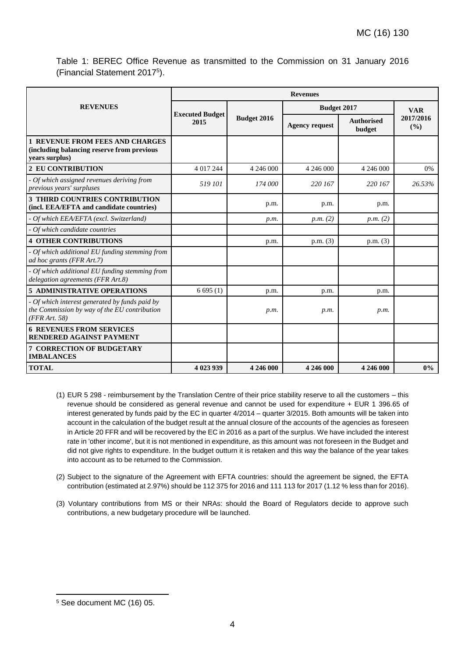Table 1: BEREC Office Revenue as transmitted to the Commission on 31 January 2016 (Financial Statement 2017<sup>5</sup> ).

|                                                                                                                 | <b>Revenues</b>                                      |           |                       |                             |                  |  |  |  |  |  |  |
|-----------------------------------------------------------------------------------------------------------------|------------------------------------------------------|-----------|-----------------------|-----------------------------|------------------|--|--|--|--|--|--|
| <b>REVENUES</b>                                                                                                 |                                                      |           | <b>Budget 2017</b>    | <b>VAR</b>                  |                  |  |  |  |  |  |  |
|                                                                                                                 | <b>Executed Budget</b><br><b>Budget 2016</b><br>2015 |           | <b>Agency request</b> | <b>Authorised</b><br>budget | 2017/2016<br>(%) |  |  |  |  |  |  |
| <b>1 REVENUE FROM FEES AND CHARGES</b><br>(including balancing reserve from previous<br>years surplus)          |                                                      |           |                       |                             |                  |  |  |  |  |  |  |
| <b>2 EU CONTRIBUTION</b>                                                                                        | 4 017 244                                            | 4 246 000 | 4 246 000             | 4 246 000                   | 0%               |  |  |  |  |  |  |
| - Of which assigned revenues deriving from<br>previous years' surpluses                                         | 519 101                                              | 174 000   | 220 167               | 220 167                     | 26.53%           |  |  |  |  |  |  |
| <b>3 THIRD COUNTRIES CONTRIBUTION</b><br>(incl. EEA/EFTA and candidate countries)                               |                                                      | p.m.      | p.m.                  | p.m.                        |                  |  |  |  |  |  |  |
| - Of which EEA/EFTA (excl. Switzerland)                                                                         |                                                      | p.m.      | p.m. (2)              | p.m. (2)                    |                  |  |  |  |  |  |  |
| - Of which candidate countries                                                                                  |                                                      |           |                       |                             |                  |  |  |  |  |  |  |
| <b>4 OTHER CONTRIBUTIONS</b>                                                                                    |                                                      | p.m.      | p.m. (3)              | p.m. (3)                    |                  |  |  |  |  |  |  |
| - Of which additional EU funding stemming from<br>ad hoc grants (FFR Art.7)                                     |                                                      |           |                       |                             |                  |  |  |  |  |  |  |
| - Of which additional EU funding stemming from<br>delegation agreements (FFR Art.8)                             |                                                      |           |                       |                             |                  |  |  |  |  |  |  |
| <b>5 ADMINISTRATIVE OPERATIONS</b>                                                                              | 6695(1)                                              | p.m.      | p.m.                  | p.m.                        |                  |  |  |  |  |  |  |
| - Of which interest generated by funds paid by<br>the Commission by way of the EU contribution<br>(FFR Art. 58) |                                                      | p.m.      | p.m.                  | p.m.                        |                  |  |  |  |  |  |  |
| <b>6 REVENUES FROM SERVICES</b><br><b>RENDERED AGAINST PAYMENT</b>                                              |                                                      |           |                       |                             |                  |  |  |  |  |  |  |
| <b>7 CORRECTION OF BUDGETARY</b><br><b>IMBALANCES</b>                                                           |                                                      |           |                       |                             |                  |  |  |  |  |  |  |
| <b>TOTAL</b>                                                                                                    | 4 023 939                                            | 4 246 000 | 4 246 000             | 4 246 000                   | $0\%$            |  |  |  |  |  |  |

- (1) EUR 5 298 reimbursement by the Translation Centre of their price stability reserve to all the customers this revenue should be considered as general revenue and cannot be used for expenditure + EUR 1 396.65 of interest generated by funds paid by the EC in quarter 4/2014 – quarter 3/2015. Both amounts will be taken into account in the calculation of the budget result at the annual closure of the accounts of the agencies as foreseen in Article 20 FFR and will be recovered by the EC in 2016 as a part of the surplus. We have included the interest rate in 'other income', but it is not mentioned in expenditure, as this amount was not foreseen in the Budget and did not give rights to expenditure. In the budget outturn it is retaken and this way the balance of the year takes into account as to be returned to the Commission.
- (2) Subject to the signature of the Agreement with EFTA countries: should the agreement be signed, the EFTA contribution (estimated at 2.97%) should be 112 375 for 2016 and 111 113 for 2017 (1.12 % less than for 2016).
- (3) Voluntary contributions from MS or their NRAs: should the Board of Regulators decide to approve such contributions, a new budgetary procedure will be launched.

-

<sup>5</sup> See document MC (16) 05.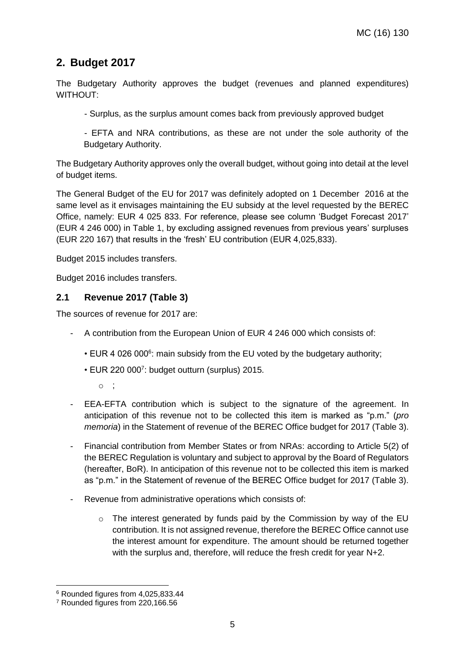## <span id="page-4-0"></span>**2. Budget 2017**

The Budgetary Authority approves the budget (revenues and planned expenditures) WITHOUT:

- Surplus, as the surplus amount comes back from previously approved budget

- EFTA and NRA contributions, as these are not under the sole authority of the Budgetary Authority.

The Budgetary Authority approves only the overall budget, without going into detail at the level of budget items.

The General Budget of the EU for 2017 was definitely adopted on 1 December 2016 at the same level as it envisages maintaining the EU subsidy at the level requested by the BEREC Office, namely: EUR 4 025 833. For reference, please see column 'Budget Forecast 2017' (EUR 4 246 000) in Table 1, by excluding assigned revenues from previous years' surpluses (EUR 220 167) that results in the 'fresh' EU contribution (EUR 4,025,833).

Budget 2015 includes transfers.

Budget 2016 includes transfers.

#### <span id="page-4-1"></span>**2.1 Revenue 2017 (Table 3)**

The sources of revenue for 2017 are:

- A contribution from the European Union of EUR 4 246 000 which consists of:
	- EUR 4 026 000<sup>6</sup>: main subsidy from the EU voted by the budgetary authority;
	- EUR 220 000<sup>7</sup> : budget outturn (surplus) 2015.
		- o ;
- EEA-EFTA contribution which is subject to the signature of the agreement. In anticipation of this revenue not to be collected this item is marked as "p.m." (*pro memoria*) in the Statement of revenue of the BEREC Office budget for 2017 (Table 3).
- Financial contribution from Member States or from NRAs: according to Article 5(2) of the BEREC Regulation is voluntary and subject to approval by the Board of Regulators (hereafter, BoR). In anticipation of this revenue not to be collected this item is marked as "p.m." in the Statement of revenue of the BEREC Office budget for 2017 (Table 3).
- Revenue from administrative operations which consists of:
	- $\circ$  The interest generated by funds paid by the Commission by way of the EU contribution. It is not assigned revenue, therefore the BEREC Office cannot use the interest amount for expenditure. The amount should be returned together with the surplus and, therefore, will reduce the fresh credit for year N+2.

-

<sup>6</sup> Rounded figures from 4,025,833.44

<sup>7</sup> Rounded figures from 220,166.56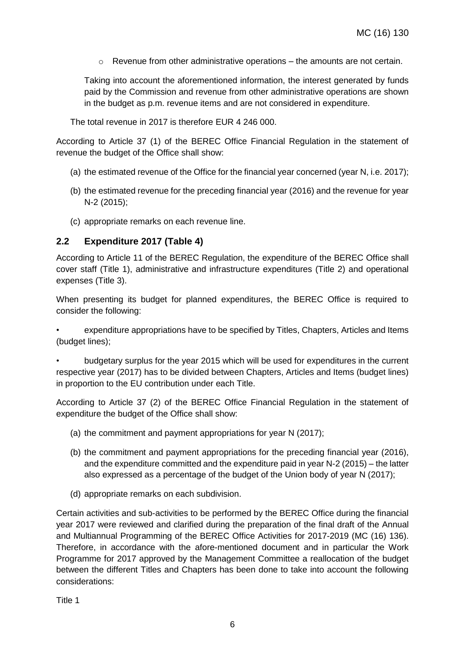$\circ$  Revenue from other administrative operations – the amounts are not certain.

Taking into account the aforementioned information, the interest generated by funds paid by the Commission and revenue from other administrative operations are shown in the budget as p.m. revenue items and are not considered in expenditure.

The total revenue in 2017 is therefore EUR 4 246 000.

According to Article 37 (1) of the BEREC Office Financial Regulation in the statement of revenue the budget of the Office shall show:

- (a) the estimated revenue of the Office for the financial year concerned (year N, i.e. 2017);
- (b) the estimated revenue for the preceding financial year (2016) and the revenue for year N-2 (2015);
- (c) appropriate remarks on each revenue line.

#### <span id="page-5-0"></span>**2.2 Expenditure 2017 (Table 4)**

According to Article 11 of the BEREC Regulation, the expenditure of the BEREC Office shall cover staff (Title 1), administrative and infrastructure expenditures (Title 2) and operational expenses (Title 3).

When presenting its budget for planned expenditures, the BEREC Office is required to consider the following:

• expenditure appropriations have to be specified by Titles, Chapters, Articles and Items (budget lines);

• budgetary surplus for the year 2015 which will be used for expenditures in the current respective year (2017) has to be divided between Chapters, Articles and Items (budget lines) in proportion to the EU contribution under each Title.

According to Article 37 (2) of the BEREC Office Financial Regulation in the statement of expenditure the budget of the Office shall show:

- (a) the commitment and payment appropriations for year N (2017);
- (b) the commitment and payment appropriations for the preceding financial year (2016), and the expenditure committed and the expenditure paid in year N-2 (2015) – the latter also expressed as a percentage of the budget of the Union body of year N (2017);
- (d) appropriate remarks on each subdivision.

Certain activities and sub-activities to be performed by the BEREC Office during the financial year 2017 were reviewed and clarified during the preparation of the final draft of the Annual and Multiannual Programming of the BEREC Office Activities for 2017-2019 (MC (16) 136). Therefore, in accordance with the afore-mentioned document and in particular the Work Programme for 2017 approved by the Management Committee a reallocation of the budget between the different Titles and Chapters has been done to take into account the following considerations:

Title 1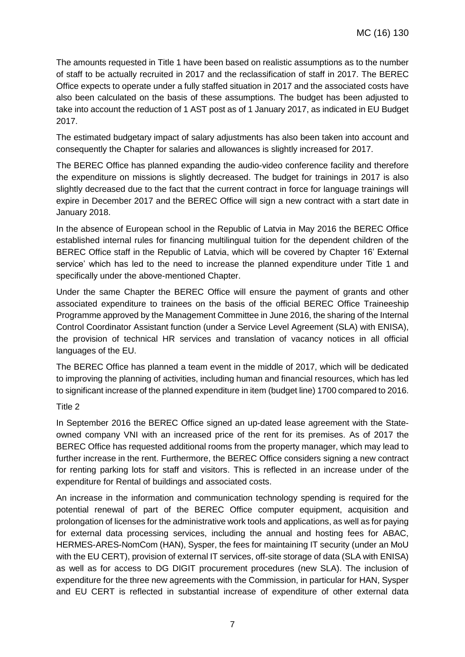The amounts requested in Title 1 have been based on realistic assumptions as to the number of staff to be actually recruited in 2017 and the reclassification of staff in 2017. The BEREC Office expects to operate under a fully staffed situation in 2017 and the associated costs have also been calculated on the basis of these assumptions. The budget has been adjusted to take into account the reduction of 1 AST post as of 1 January 2017, as indicated in EU Budget 2017.

The estimated budgetary impact of salary adjustments has also been taken into account and consequently the Chapter for salaries and allowances is slightly increased for 2017.

The BEREC Office has planned expanding the audio-video conference facility and therefore the expenditure on missions is slightly decreased. The budget for trainings in 2017 is also slightly decreased due to the fact that the current contract in force for language trainings will expire in December 2017 and the BEREC Office will sign a new contract with a start date in January 2018.

In the absence of European school in the Republic of Latvia in May 2016 the BEREC Office established internal rules for financing multilingual tuition for the dependent children of the BEREC Office staff in the Republic of Latvia, which will be covered by Chapter 16' External service' which has led to the need to increase the planned expenditure under Title 1 and specifically under the above-mentioned Chapter.

Under the same Chapter the BEREC Office will ensure the payment of grants and other associated expenditure to trainees on the basis of the official BEREC Office Traineeship Programme approved by the Management Committee in June 2016, the sharing of the Internal Control Coordinator Assistant function (under a Service Level Agreement (SLA) with ENISA), the provision of technical HR services and translation of vacancy notices in all official languages of the EU.

The BEREC Office has planned a team event in the middle of 2017, which will be dedicated to improving the planning of activities, including human and financial resources, which has led to significant increase of the planned expenditure in item (budget line) 1700 compared to 2016.

#### Title 2

In September 2016 the BEREC Office signed an up-dated lease agreement with the Stateowned company VNI with an increased price of the rent for its premises. As of 2017 the BEREC Office has requested additional rooms from the property manager, which may lead to further increase in the rent. Furthermore, the BEREC Office considers signing a new contract for renting parking lots for staff and visitors. This is reflected in an increase under of the expenditure for Rental of buildings and associated costs.

An increase in the information and communication technology spending is required for the potential renewal of part of the BEREC Office computer equipment, acquisition and prolongation of licenses for the administrative work tools and applications, as well as for paying for external data processing services, including the annual and hosting fees for ABAC, HERMES-ARES-NomCom (HAN), Sysper, the fees for maintaining IT security (under an MoU with the EU CERT), provision of external IT services, off-site storage of data (SLA with ENISA) as well as for access to DG DIGIT procurement procedures (new SLA). The inclusion of expenditure for the three new agreements with the Commission, in particular for HAN, Sysper and EU CERT is reflected in substantial increase of expenditure of other external data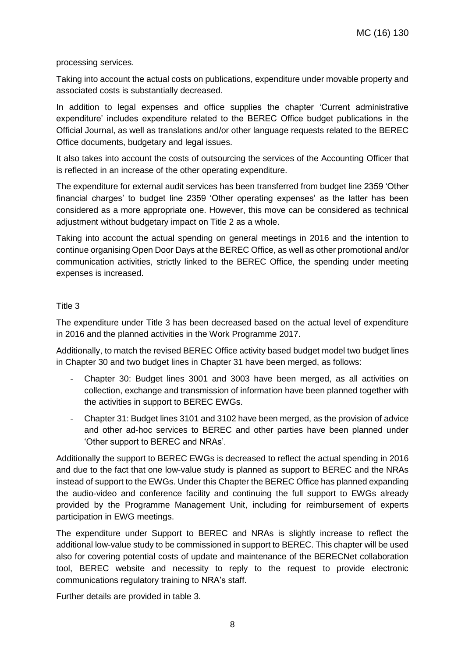processing services.

Taking into account the actual costs on publications, expenditure under movable property and associated costs is substantially decreased.

In addition to legal expenses and office supplies the chapter 'Current administrative expenditure' includes expenditure related to the BEREC Office budget publications in the Official Journal, as well as translations and/or other language requests related to the BEREC Office documents, budgetary and legal issues.

It also takes into account the costs of outsourcing the services of the Accounting Officer that is reflected in an increase of the other operating expenditure.

The expenditure for external audit services has been transferred from budget line 2359 'Other financial charges' to budget line 2359 'Other operating expenses' as the latter has been considered as a more appropriate one. However, this move can be considered as technical adjustment without budgetary impact on Title 2 as a whole.

Taking into account the actual spending on general meetings in 2016 and the intention to continue organising Open Door Days at the BEREC Office, as well as other promotional and/or communication activities, strictly linked to the BEREC Office, the spending under meeting expenses is increased.

#### Title 3

The expenditure under Title 3 has been decreased based on the actual level of expenditure in 2016 and the planned activities in the Work Programme 2017.

Additionally, to match the revised BEREC Office activity based budget model two budget lines in Chapter 30 and two budget lines in Chapter 31 have been merged, as follows:

- Chapter 30: Budget lines 3001 and 3003 have been merged, as all activities on collection, exchange and transmission of information have been planned together with the activities in support to BEREC EWGs.
- Chapter 31: Budget lines 3101 and 3102 have been merged, as the provision of advice and other ad-hoc services to BEREC and other parties have been planned under 'Other support to BEREC and NRAs'.

Additionally the support to BEREC EWGs is decreased to reflect the actual spending in 2016 and due to the fact that one low-value study is planned as support to BEREC and the NRAs instead of support to the EWGs. Under this Chapter the BEREC Office has planned expanding the audio-video and conference facility and continuing the full support to EWGs already provided by the Programme Management Unit, including for reimbursement of experts participation in EWG meetings.

The expenditure under Support to BEREC and NRAs is slightly increase to reflect the additional low-value study to be commissioned in support to BEREC. This chapter will be used also for covering potential costs of update and maintenance of the BERECNet collaboration tool, BEREC website and necessity to reply to the request to provide electronic communications regulatory training to NRA's staff.

Further details are provided in table 3.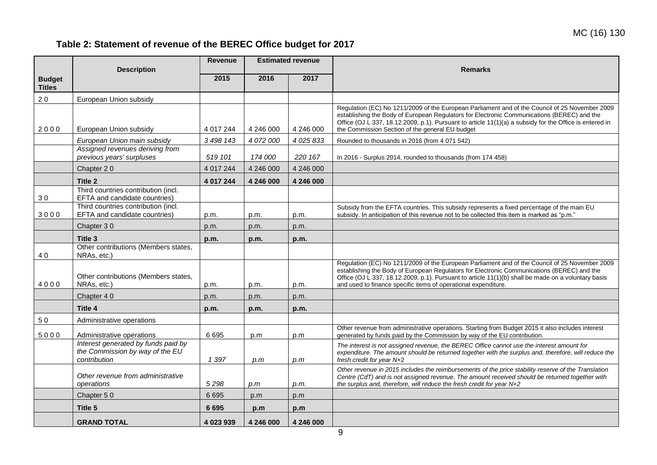# **Table 2: Statement of revenue of the BEREC Office budget for 2017**

<span id="page-8-0"></span>

|               |                                                                                        | <b>Revenue</b> |           | <b>Estimated revenue</b> |                                                                                                                                                                                                                                                                                                                                                                       |
|---------------|----------------------------------------------------------------------------------------|----------------|-----------|--------------------------|-----------------------------------------------------------------------------------------------------------------------------------------------------------------------------------------------------------------------------------------------------------------------------------------------------------------------------------------------------------------------|
|               | <b>Description</b>                                                                     |                |           |                          | <b>Remarks</b>                                                                                                                                                                                                                                                                                                                                                        |
| <b>Budget</b> |                                                                                        | 2015           | 2016      | 2017                     |                                                                                                                                                                                                                                                                                                                                                                       |
| <b>Titles</b> |                                                                                        |                |           |                          |                                                                                                                                                                                                                                                                                                                                                                       |
| 20            | European Union subsidy                                                                 |                |           |                          |                                                                                                                                                                                                                                                                                                                                                                       |
| 2000          | European Union subsidy                                                                 | 4 017 244      | 4 246 000 | 4 246 000                | Regulation (EC) No 1211/2009 of the European Parliament and of the Council of 25 November 2009<br>establishing the Body of European Regulators for Electronic Communications (BEREC) and the<br>Office (OJ L 337, 18.12.2009, p.1). Pursuant to article $11(1)(a)$ a subsidy for the Office is entered in<br>the Commission Section of the general EU budget          |
|               | European Union main subsidy                                                            | 3 498 143      | 4 072 000 | 4 0 25 8 33              | Rounded to thousands in 2016 (from 4 071 542)                                                                                                                                                                                                                                                                                                                         |
|               | Assigned revenues deriving from                                                        |                |           |                          |                                                                                                                                                                                                                                                                                                                                                                       |
|               | previous years' surpluses                                                              | 519 101        | 174 000   | 220 167                  | In 2016 - Surplus 2014, rounded to thousands (from 174 458)                                                                                                                                                                                                                                                                                                           |
|               | Chapter 20                                                                             | 4 017 244      | 4 246 000 | 4 246 000                |                                                                                                                                                                                                                                                                                                                                                                       |
|               | Title 2                                                                                | 4 017 244      | 4 246 000 | 4 246 000                |                                                                                                                                                                                                                                                                                                                                                                       |
| 30            | Third countries contribution (incl.<br>EFTA and candidate countries)                   |                |           |                          |                                                                                                                                                                                                                                                                                                                                                                       |
| 3000          | Third countries contribution (incl.<br>EFTA and candidate countries)                   | p.m.           | p.m.      | p.m.                     | Subsidy from the EFTA countries. This subsidy represents a fixed percentage of the main EU<br>subsidy. In anticipation of this revenue not to be collected this item is marked as "p.m."                                                                                                                                                                              |
|               | Chapter 30                                                                             | p.m.           | p.m.      | p.m.                     |                                                                                                                                                                                                                                                                                                                                                                       |
|               | Title 3                                                                                | p.m.           | p.m.      | p.m.                     |                                                                                                                                                                                                                                                                                                                                                                       |
| 40            | Other contributions (Members states,<br>NRAs, etc.)                                    |                |           |                          |                                                                                                                                                                                                                                                                                                                                                                       |
| 4000          | Other contributions (Members states,<br>NRAs, etc.)                                    | p.m.           | p.m.      | p.m.                     | Regulation (EC) No 1211/2009 of the European Parliament and of the Council of 25 November 2009<br>establishing the Body of European Regulators for Electronic Communications (BEREC) and the<br>Office (OJ L 337, 18.12.2009, p.1). Pursuant to article 11(1)(b) shall be made on a voluntary basis<br>and used to finance specific items of operational expenditure. |
|               | Chapter 40                                                                             | p.m.           | p.m.      | p.m.                     |                                                                                                                                                                                                                                                                                                                                                                       |
|               | Title 4                                                                                | p.m.           | p.m.      | p.m.                     |                                                                                                                                                                                                                                                                                                                                                                       |
| 50            | Administrative operations                                                              |                |           |                          |                                                                                                                                                                                                                                                                                                                                                                       |
| 5000          | Administrative operations                                                              | 6695           | p.m       | p.m                      | Other revenue from administrative operations. Starting from Budget 2015 it also includes interest<br>generated by funds paid by the Commission by way of the EU contribution.                                                                                                                                                                                         |
|               | Interest generated by funds paid by<br>the Commission by way of the EU<br>contribution | 1 397          | p.m       | p.m                      | The interest is not assigned revenue, the BEREC Office cannot use the interest amount for<br>expenditure. The amount should be returned together with the surplus and, therefore, will reduce the<br>fresh credit for year N+2                                                                                                                                        |
|               | Other revenue from administrative<br>operations                                        | 5298           | p.m       | p.m.                     | Other revenue in 2015 includes the reimbursements of the price stability reserve of the Translation<br>Centre (CdT) and is not assigned revenue. The amount received should be returned together with<br>the surplus and, therefore, will reduce the fresh credit for year N+2                                                                                        |
|               | Chapter 50                                                                             | 6 6 9 5        | p.m       | p.m                      |                                                                                                                                                                                                                                                                                                                                                                       |
|               | Title 5                                                                                | 6 6 9 5        | p.m       | p.m                      |                                                                                                                                                                                                                                                                                                                                                                       |
|               | <b>GRAND TOTAL</b>                                                                     | 4 023 939      | 4 246 000 | 4 246 000                |                                                                                                                                                                                                                                                                                                                                                                       |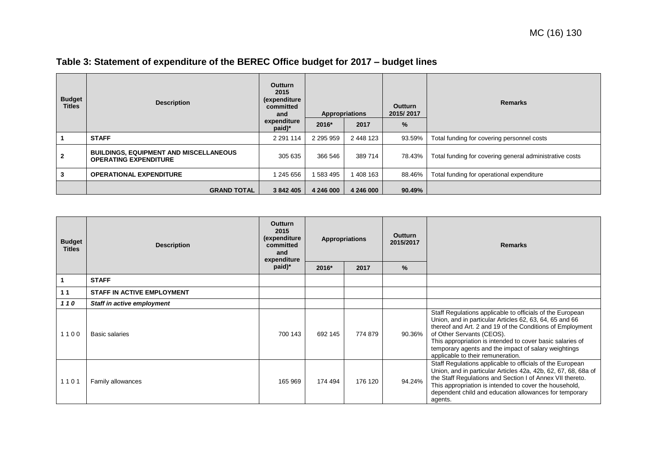| <b>Budget</b><br><b>Titles</b> | <b>Description</b>                                                            | <b>Outturn</b><br>2015<br><i>(expenditure)</i><br>committed<br>and |               | <b>Appropriations</b> | <b>Outturn</b><br>2015/2017 | <b>Remarks</b>                                          |
|--------------------------------|-------------------------------------------------------------------------------|--------------------------------------------------------------------|---------------|-----------------------|-----------------------------|---------------------------------------------------------|
|                                |                                                                               | expenditure<br>paid)*                                              | 2016*         | 2017                  | $\%$                        |                                                         |
|                                | <b>STAFF</b>                                                                  | 2 2 9 1 1 1 4                                                      | 2 2 9 5 9 5 9 | 2 448 123             | 93.59%                      | Total funding for covering personnel costs              |
| $\mathbf{2}$                   | <b>BUILDINGS, EQUIPMENT AND MISCELLANEOUS</b><br><b>OPERATING EXPENDITURE</b> | 305 635                                                            | 366 546       | 389 714               | 78.43%                      | Total funding for covering general administrative costs |
| 3                              | <b>OPERATIONAL EXPENDITURE</b>                                                | 245 656                                                            | 583 495       | 1408 163              | 88.46%                      | Total funding for operational expenditure               |
|                                | <b>GRAND TOTAL</b>                                                            | 3 842 405                                                          | 4 246 000     | 4 246 000             | 90.49%                      |                                                         |

<span id="page-9-0"></span>

| <b>Budget</b><br><b>Titles</b> | <b>Description</b>                | <b>Outturn</b><br>2015<br>(expenditure<br>committed<br>and<br>expenditure<br>paid)* | 2016*   | <b>Appropriations</b><br>2017 | <b>Outturn</b><br>2015/2017<br>% | <b>Remarks</b>                                                                                                                                                                                                                                                                                                                                                           |
|--------------------------------|-----------------------------------|-------------------------------------------------------------------------------------|---------|-------------------------------|----------------------------------|--------------------------------------------------------------------------------------------------------------------------------------------------------------------------------------------------------------------------------------------------------------------------------------------------------------------------------------------------------------------------|
|                                |                                   |                                                                                     |         |                               |                                  |                                                                                                                                                                                                                                                                                                                                                                          |
|                                | <b>STAFF</b>                      |                                                                                     |         |                               |                                  |                                                                                                                                                                                                                                                                                                                                                                          |
| 11                             | <b>STAFF IN ACTIVE EMPLOYMENT</b> |                                                                                     |         |                               |                                  |                                                                                                                                                                                                                                                                                                                                                                          |
| 110                            | Staff in active employment        |                                                                                     |         |                               |                                  |                                                                                                                                                                                                                                                                                                                                                                          |
| 1100                           | <b>Basic salaries</b>             | 700 143                                                                             | 692 145 | 774 879                       | 90.36%                           | Staff Regulations applicable to officials of the European<br>Union, and in particular Articles 62, 63, 64, 65 and 66<br>thereof and Art. 2 and 19 of the Conditions of Employment<br>of Other Servants (CEOS).<br>This appropriation is intended to cover basic salaries of<br>temporary agents and the impact of salary weightings<br>applicable to their remuneration. |
| 1101                           | Family allowances                 | 165 969                                                                             | 174 494 | 176 120                       | 94.24%                           | Staff Regulations applicable to officials of the European<br>Union, and in particular Articles 42a, 42b, 62, 67, 68, 68a of<br>the Staff Regulations and Section I of Annex VII thereto.<br>This appropriation is intended to cover the household,<br>dependent child and education allowances for temporary<br>agents.                                                  |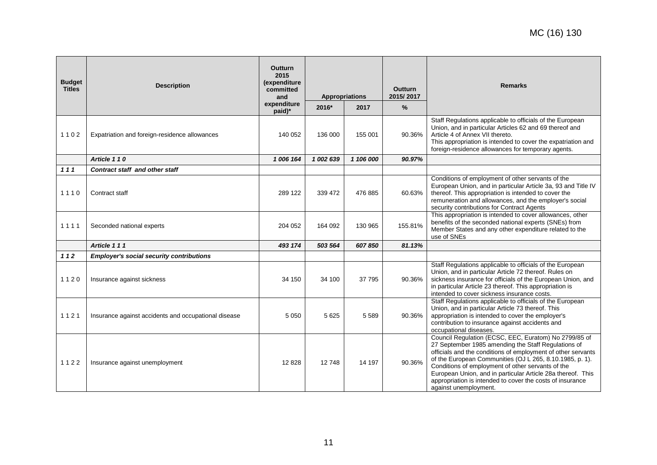| <b>Budget</b><br><b>Titles</b> | <b>Description</b>                                   | <b>Outturn</b><br>2015<br>(expenditure<br>committed<br>and | Appropriations |           |         |                                                                                                                                                                                                                                                                                                                                                                                                                                                    |  |  | <b>Outturn</b><br>2015/2017 | <b>Remarks</b> |
|--------------------------------|------------------------------------------------------|------------------------------------------------------------|----------------|-----------|---------|----------------------------------------------------------------------------------------------------------------------------------------------------------------------------------------------------------------------------------------------------------------------------------------------------------------------------------------------------------------------------------------------------------------------------------------------------|--|--|-----------------------------|----------------|
|                                |                                                      | expenditure<br>paid)*                                      | 2016*          | 2017      | %       |                                                                                                                                                                                                                                                                                                                                                                                                                                                    |  |  |                             |                |
| 1102                           | Expatriation and foreign-residence allowances        | 140 052                                                    | 136 000        | 155 001   | 90.36%  | Staff Regulations applicable to officials of the European<br>Union, and in particular Articles 62 and 69 thereof and<br>Article 4 of Annex VII thereto.<br>This appropriation is intended to cover the expatriation and<br>foreign-residence allowances for temporary agents.                                                                                                                                                                      |  |  |                             |                |
|                                | Article 110                                          | 1 006 164                                                  | 1 002 639      | 1 106 000 | 90.97%  |                                                                                                                                                                                                                                                                                                                                                                                                                                                    |  |  |                             |                |
| 111                            | <b>Contract staff and other staff</b>                |                                                            |                |           |         |                                                                                                                                                                                                                                                                                                                                                                                                                                                    |  |  |                             |                |
| 1110                           | Contract staff                                       | 289 122                                                    | 339 472        | 476 885   | 60.63%  | Conditions of employment of other servants of the<br>European Union, and in particular Article 3a, 93 and Title IV<br>thereof. This appropriation is intended to cover the<br>remuneration and allowances, and the employer's social<br>security contributions for Contract Agents                                                                                                                                                                 |  |  |                             |                |
| 1111                           | Seconded national experts                            | 204 052                                                    | 164 092        | 130 965   | 155.81% | This appropriation is intended to cover allowances, other<br>benefits of the seconded national experts (SNEs) from<br>Member States and any other expenditure related to the<br>use of SNEs                                                                                                                                                                                                                                                        |  |  |                             |                |
|                                | Article 111                                          | 493 174                                                    | 503 564        | 607850    | 81.13%  |                                                                                                                                                                                                                                                                                                                                                                                                                                                    |  |  |                             |                |
| 112                            | <b>Employer's social security contributions</b>      |                                                            |                |           |         |                                                                                                                                                                                                                                                                                                                                                                                                                                                    |  |  |                             |                |
| 1120                           | Insurance against sickness                           | 34 150                                                     | 34 100         | 37 795    | 90.36%  | Staff Regulations applicable to officials of the European<br>Union, and in particular Article 72 thereof. Rules on<br>sickness insurance for officials of the European Union, and<br>in particular Article 23 thereof. This appropriation is<br>intended to cover sickness insurance costs.                                                                                                                                                        |  |  |                             |                |
| 1121                           | Insurance against accidents and occupational disease | 5 0 5 0                                                    | 5625           | 5 5 8 9   | 90.36%  | Staff Regulations applicable to officials of the European<br>Union, and in particular Article 73 thereof. This<br>appropriation is intended to cover the employer's<br>contribution to insurance against accidents and<br>occupational diseases.                                                                                                                                                                                                   |  |  |                             |                |
| 1122                           | Insurance against unemployment                       | 12828                                                      | 12748          | 14 197    | 90.36%  | Council Regulation (ECSC, EEC, Euratom) No 2799/85 of<br>27 September 1985 amending the Staff Regulations of<br>officials and the conditions of employment of other servants<br>of the European Communities (OJ L 265, 8.10.1985, p. 1).<br>Conditions of employment of other servants of the<br>European Union, and in particular Article 28a thereof. This<br>appropriation is intended to cover the costs of insurance<br>against unemployment. |  |  |                             |                |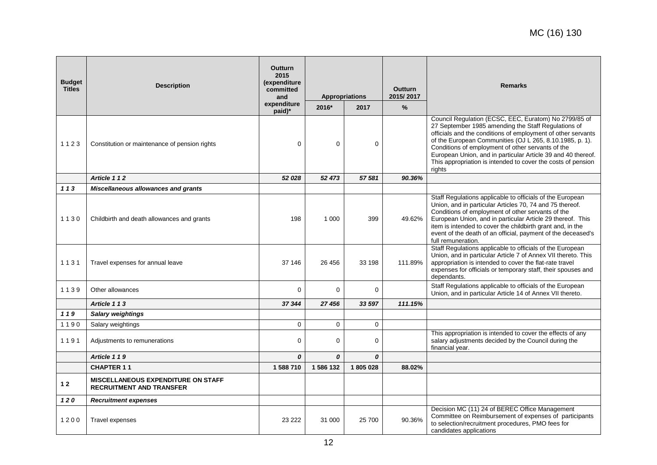| <b>Budget</b><br><b>Titles</b> | <b>Description</b>                                                           | <b>Outturn</b><br>2015<br>(expenditure<br>committed<br>and<br>expenditure | <b>Appropriations</b> |          | <b>Outturn</b><br>2015/2017<br>$\frac{9}{6}$ | <b>Remarks</b>                                                                                                                                                                                                                                                                                                                                                                                                                          |
|--------------------------------|------------------------------------------------------------------------------|---------------------------------------------------------------------------|-----------------------|----------|----------------------------------------------|-----------------------------------------------------------------------------------------------------------------------------------------------------------------------------------------------------------------------------------------------------------------------------------------------------------------------------------------------------------------------------------------------------------------------------------------|
|                                |                                                                              | paid)*                                                                    | 2016*                 | 2017     |                                              |                                                                                                                                                                                                                                                                                                                                                                                                                                         |
| 1123                           | Constitution or maintenance of pension rights                                | $\Omega$                                                                  | $\Omega$              | 0        |                                              | Council Regulation (ECSC, EEC, Euratom) No 2799/85 of<br>27 September 1985 amending the Staff Regulations of<br>officials and the conditions of employment of other servants<br>of the European Communities (OJ L 265, 8.10.1985, p. 1).<br>Conditions of employment of other servants of the<br>European Union, and in particular Article 39 and 40 thereof.<br>This appropriation is intended to cover the costs of pension<br>rights |
|                                | Article 112                                                                  | 52 028                                                                    | 52 473                | 57 581   | 90.36%                                       |                                                                                                                                                                                                                                                                                                                                                                                                                                         |
| 113                            | Miscellaneous allowances and grants                                          |                                                                           |                       |          |                                              |                                                                                                                                                                                                                                                                                                                                                                                                                                         |
| 1130                           | Childbirth and death allowances and grants                                   | 198                                                                       | 1 0 0 0               | 399      | 49.62%                                       | Staff Regulations applicable to officials of the European<br>Union, and in particular Articles 70, 74 and 75 thereof.<br>Conditions of employment of other servants of the<br>European Union, and in particular Article 29 thereof. This<br>item is intended to cover the childbirth grant and, in the<br>event of the death of an official, payment of the deceased's<br>full remuneration.                                            |
| 1131                           | Travel expenses for annual leave                                             | 37 146                                                                    | 26 45 6               | 33 198   | 111.89%                                      | Staff Regulations applicable to officials of the European<br>Union, and in particular Article 7 of Annex VII thereto. This<br>appropriation is intended to cover the flat-rate travel<br>expenses for officials or temporary staff, their spouses and<br>dependants.                                                                                                                                                                    |
| 1139                           | Other allowances                                                             | $\Omega$                                                                  | $\Omega$              | $\Omega$ |                                              | Staff Regulations applicable to officials of the European<br>Union, and in particular Article 14 of Annex VII thereto.                                                                                                                                                                                                                                                                                                                  |
|                                | Article 113                                                                  | 37 344                                                                    | 27 456                | 33 597   | 111.15%                                      |                                                                                                                                                                                                                                                                                                                                                                                                                                         |
| 119                            | <b>Salary weightings</b>                                                     |                                                                           |                       |          |                                              |                                                                                                                                                                                                                                                                                                                                                                                                                                         |
| 1190                           | Salary weightings                                                            | $\Omega$                                                                  | $\Omega$              | 0        |                                              |                                                                                                                                                                                                                                                                                                                                                                                                                                         |
| 1191                           | Adjustments to remunerations                                                 | $\mathbf 0$                                                               | $\mathbf 0$           | 0        |                                              | This appropriation is intended to cover the effects of any<br>salary adjustments decided by the Council during the<br>financial year.                                                                                                                                                                                                                                                                                                   |
|                                | Article 119                                                                  | 0                                                                         | 0                     | 0        |                                              |                                                                                                                                                                                                                                                                                                                                                                                                                                         |
|                                | <b>CHAPTER 11</b>                                                            | 1 588 710                                                                 | 1 586 132             | 1805028  | 88.02%                                       |                                                                                                                                                                                                                                                                                                                                                                                                                                         |
| 12                             | <b>MISCELLANEOUS EXPENDITURE ON STAFF</b><br><b>RECRUITMENT AND TRANSFER</b> |                                                                           |                       |          |                                              |                                                                                                                                                                                                                                                                                                                                                                                                                                         |
| $120$                          | <b>Recruitment expenses</b>                                                  |                                                                           |                       |          |                                              |                                                                                                                                                                                                                                                                                                                                                                                                                                         |
| 1200                           | <b>Travel expenses</b>                                                       | 23 222                                                                    | 31 000                | 25 700   | 90.36%                                       | Decision MC (11) 24 of BEREC Office Management<br>Committee on Reimbursement of expenses of participants<br>to selection/recruitment procedures, PMO fees for<br>candidates applications                                                                                                                                                                                                                                                |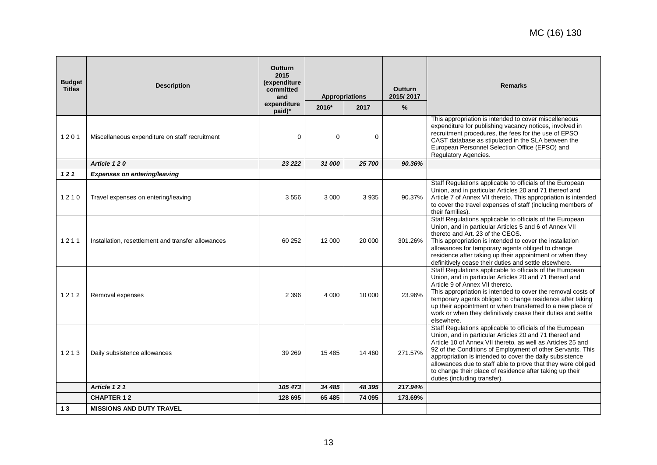| <b>Budget</b><br><b>Titles</b> | <b>Description</b>                                 | <b>Outturn</b><br>2015<br>(expenditure<br>committed<br>and<br>expenditure | <b>Appropriations</b> |        | <b>Outturn</b><br>2015/2017 | <b>Remarks</b>                                                                                                                                                                                                                                                                                                                                                                                                                                                            |
|--------------------------------|----------------------------------------------------|---------------------------------------------------------------------------|-----------------------|--------|-----------------------------|---------------------------------------------------------------------------------------------------------------------------------------------------------------------------------------------------------------------------------------------------------------------------------------------------------------------------------------------------------------------------------------------------------------------------------------------------------------------------|
|                                |                                                    | paid)*                                                                    | 2016*                 | 2017   | $\frac{9}{6}$               |                                                                                                                                                                                                                                                                                                                                                                                                                                                                           |
| 1201                           | Miscellaneous expenditure on staff recruitment     | $\Omega$                                                                  | $\Omega$              | 0      |                             | This appropriation is intended to cover miscelleneous<br>expenditure for publishing vacancy notices, involved in<br>recruitment procedures, the fees for the use of EPSO<br>CAST database as stipulated in the SLA between the<br>European Personnel Selection Office (EPSO) and<br>Regulatory Agencies.                                                                                                                                                                  |
|                                | Article 120                                        | 23 222                                                                    | 31 000                | 25 700 | 90.36%                      |                                                                                                                                                                                                                                                                                                                                                                                                                                                                           |
| 121                            | <b>Expenses on entering/leaving</b>                |                                                                           |                       |        |                             |                                                                                                                                                                                                                                                                                                                                                                                                                                                                           |
| 1210                           | Travel expenses on entering/leaving                | 3556                                                                      | 3 0 0 0               | 3935   | 90.37%                      | Staff Regulations applicable to officials of the European<br>Union, and in particular Articles 20 and 71 thereof and<br>Article 7 of Annex VII thereto. This appropriation is intended<br>to cover the travel expenses of staff (including members of<br>their families).                                                                                                                                                                                                 |
| 1211                           | Installation, resettlement and transfer allowances | 60 252                                                                    | 12 000                | 20 000 | 301.26%                     | Staff Regulations applicable to officials of the European<br>Union, and in particular Articles 5 and 6 of Annex VII<br>thereto and Art. 23 of the CEOS.<br>This appropriation is intended to cover the installation<br>allowances for temporary agents obliged to change<br>residence after taking up their appointment or when they<br>definitively cease their duties and settle elsewhere.                                                                             |
| 1212                           | Removal expenses                                   | 2 3 9 6                                                                   | 4 0 0 0               | 10 000 | 23.96%                      | Staff Regulations applicable to officials of the European<br>Union, and in particular Articles 20 and 71 thereof and<br>Article 9 of Annex VII thereto.<br>This appropriation is intended to cover the removal costs of<br>temporary agents obliged to change residence after taking<br>up their appointment or when transferred to a new place of<br>work or when they definitively cease their duties and settle<br>elsewhere.                                          |
| 1213                           | Daily subsistence allowances                       | 39 269                                                                    | 15 4 85               | 14 460 | 271.57%                     | Staff Regulations applicable to officials of the European<br>Union, and in particular Articles 20 and 71 thereof and<br>Article 10 of Annex VII thereto, as well as Articles 25 and<br>92 of the Conditions of Employment of other Servants. This<br>appropriation is intended to cover the daily subsistence<br>allowances due to staff able to prove that they were obliged<br>to change their place of residence after taking up their<br>duties (including transfer). |
|                                | Article 121                                        | 105 473                                                                   | 34 485                | 48 395 | 217.94%                     |                                                                                                                                                                                                                                                                                                                                                                                                                                                                           |
|                                | <b>CHAPTER 12</b>                                  | 128 695                                                                   | 65 485                | 74 095 | 173.69%                     |                                                                                                                                                                                                                                                                                                                                                                                                                                                                           |
| 13                             | <b>MISSIONS AND DUTY TRAVEL</b>                    |                                                                           |                       |        |                             |                                                                                                                                                                                                                                                                                                                                                                                                                                                                           |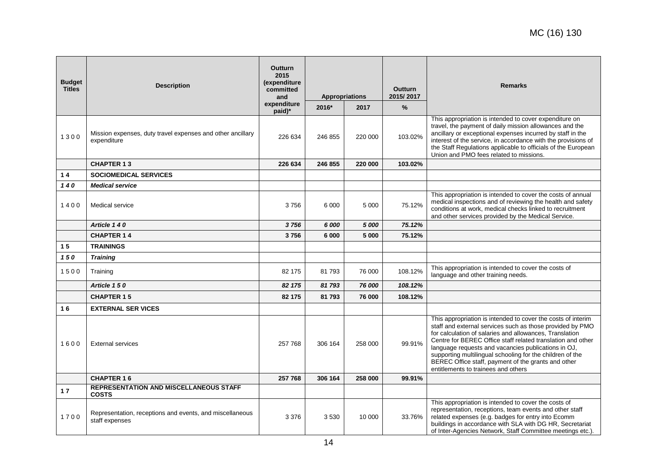| <b>Budget</b><br><b>Titles</b> | <b>Description</b>                                                         | <b>Outturn</b><br>2015<br>(expenditure<br>committed<br>and<br>expenditure | <b>Appropriations</b><br>2017<br>2016* |         | <b>Outturn</b><br>2015/2017<br>% | <b>Remarks</b>                                                                                                                                                                                                                                                                                                                                                                                                                                                        |
|--------------------------------|----------------------------------------------------------------------------|---------------------------------------------------------------------------|----------------------------------------|---------|----------------------------------|-----------------------------------------------------------------------------------------------------------------------------------------------------------------------------------------------------------------------------------------------------------------------------------------------------------------------------------------------------------------------------------------------------------------------------------------------------------------------|
| 1300                           | Mission expenses, duty travel expenses and other ancillary<br>expenditure  | paid)*<br>226 634                                                         | 246 855                                | 220 000 | 103.02%                          | This appropriation is intended to cover expenditure on<br>travel, the payment of daily mission allowances and the<br>ancillary or exceptional expenses incurred by staff in the<br>interest of the service, in accordance with the provisions of<br>the Staff Regulations applicable to officials of the European<br>Union and PMO fees related to missions.                                                                                                          |
|                                | <b>CHAPTER 13</b>                                                          | 226 634                                                                   | 246 855                                | 220 000 | 103.02%                          |                                                                                                                                                                                                                                                                                                                                                                                                                                                                       |
| 14                             | <b>SOCIOMEDICAL SERVICES</b>                                               |                                                                           |                                        |         |                                  |                                                                                                                                                                                                                                                                                                                                                                                                                                                                       |
| 140                            | <b>Medical service</b>                                                     |                                                                           |                                        |         |                                  |                                                                                                                                                                                                                                                                                                                                                                                                                                                                       |
| 1400                           | Medical service                                                            | 3756                                                                      | 6 0 0 0                                | 5 0 0 0 | 75.12%                           | This appropriation is intended to cover the costs of annual<br>medical inspections and of reviewing the health and safety<br>conditions at work, medical checks linked to recruitment<br>and other services provided by the Medical Service.                                                                                                                                                                                                                          |
|                                | Article 140                                                                | 3756                                                                      | 6 000                                  | 5 000   | 75.12%                           |                                                                                                                                                                                                                                                                                                                                                                                                                                                                       |
|                                | <b>CHAPTER 14</b>                                                          | 3756                                                                      | 6 000                                  | 5 000   | 75.12%                           |                                                                                                                                                                                                                                                                                                                                                                                                                                                                       |
| 15                             | <b>TRAININGS</b>                                                           |                                                                           |                                        |         |                                  |                                                                                                                                                                                                                                                                                                                                                                                                                                                                       |
| 150                            | <b>Training</b>                                                            |                                                                           |                                        |         |                                  |                                                                                                                                                                                                                                                                                                                                                                                                                                                                       |
| 1500                           | Training                                                                   | 82 175                                                                    | 81793                                  | 76 000  | 108.12%                          | This appropriation is intended to cover the costs of<br>language and other training needs.                                                                                                                                                                                                                                                                                                                                                                            |
|                                | Article 150                                                                | 82 175                                                                    | 81793                                  | 76 000  | 108.12%                          |                                                                                                                                                                                                                                                                                                                                                                                                                                                                       |
|                                | <b>CHAPTER 15</b>                                                          | 82 175                                                                    | 81 793                                 | 76 000  | 108.12%                          |                                                                                                                                                                                                                                                                                                                                                                                                                                                                       |
| 16                             | <b>EXTERNAL SER VICES</b>                                                  |                                                                           |                                        |         |                                  |                                                                                                                                                                                                                                                                                                                                                                                                                                                                       |
| 1600                           | <b>External services</b>                                                   | 257 768                                                                   | 306 164                                | 258 000 | 99.91%                           | This appropriation is intended to cover the costs of interim<br>staff and external services such as those provided by PMO<br>for calculation of salaries and allowances, Translation<br>Centre for BEREC Office staff related translation and other<br>language requests and vacancies publications in OJ,<br>supporting multilingual schooling for the children of the<br>BEREC Office staff, payment of the grants and other<br>entitlements to trainees and others |
|                                | <b>CHAPTER 16</b>                                                          | 257 768                                                                   | 306 164                                | 258 000 | 99.91%                           |                                                                                                                                                                                                                                                                                                                                                                                                                                                                       |
| 17                             | <b>REPRESENTATION AND MISCELLANEOUS STAFF</b><br><b>COSTS</b>              |                                                                           |                                        |         |                                  |                                                                                                                                                                                                                                                                                                                                                                                                                                                                       |
| 1700                           | Representation, receptions and events, and miscellaneous<br>staff expenses | 3 3 7 6                                                                   | 3530                                   | 10 000  | 33.76%                           | This appropriation is intended to cover the costs of<br>representation, receptions, team events and other staff<br>related expenses (e.g. badges for entry into Ecomm<br>buildings in accordance with SLA with DG HR, Secretariat<br>of Inter-Agencies Network, Staff Committee meetings etc.).                                                                                                                                                                       |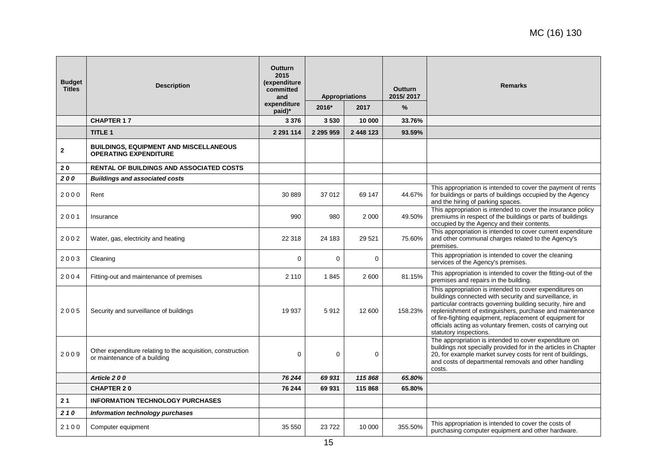| <b>Budget</b><br><b>Titles</b> | <b>Description</b>                                                                          | <b>Outturn</b><br>2015<br>(expenditure<br>committed<br>and<br>expenditure<br>paid)* | <b>Appropriations</b><br>2016*<br>2017 |           | <b>Outturn</b><br>2015/2017<br>% | <b>Remarks</b>                                                                                                                                                                                                                                                                                                                                                                                    |
|--------------------------------|---------------------------------------------------------------------------------------------|-------------------------------------------------------------------------------------|----------------------------------------|-----------|----------------------------------|---------------------------------------------------------------------------------------------------------------------------------------------------------------------------------------------------------------------------------------------------------------------------------------------------------------------------------------------------------------------------------------------------|
|                                | <b>CHAPTER 17</b>                                                                           | 3 3 7 6                                                                             | 3530                                   | 10 000    | 33.76%                           |                                                                                                                                                                                                                                                                                                                                                                                                   |
|                                | <b>TITLE 1</b>                                                                              | 2 2 9 1 1 1 4                                                                       | 2 295 959                              | 2 448 123 | 93.59%                           |                                                                                                                                                                                                                                                                                                                                                                                                   |
| $\mathbf{2}$                   | <b>BUILDINGS, EQUIPMENT AND MISCELLANEOUS</b><br><b>OPERATING EXPENDITURE</b>               |                                                                                     |                                        |           |                                  |                                                                                                                                                                                                                                                                                                                                                                                                   |
| 20                             | <b>RENTAL OF BUILDINGS AND ASSOCIATED COSTS</b>                                             |                                                                                     |                                        |           |                                  |                                                                                                                                                                                                                                                                                                                                                                                                   |
| 200                            | <b>Buildings and associated costs</b>                                                       |                                                                                     |                                        |           |                                  |                                                                                                                                                                                                                                                                                                                                                                                                   |
| 2000                           | Rent                                                                                        | 30 889                                                                              | 37 012                                 | 69 147    | 44.67%                           | This appropriation is intended to cover the payment of rents<br>for buildings or parts of buildings occupied by the Agency<br>and the hiring of parking spaces.                                                                                                                                                                                                                                   |
| 2001                           | Insurance                                                                                   | 990                                                                                 | 980                                    | 2 0 0 0   | 49.50%                           | This appropriation is intended to cover the insurance policy<br>premiums in respect of the buildings or parts of buildings<br>occupied by the Agency and their contents.                                                                                                                                                                                                                          |
| 2002                           | Water, gas, electricity and heating                                                         | 22 318                                                                              | 24 183                                 | 29 5 21   | 75.60%                           | This appropriation is intended to cover current expenditure<br>and other communal charges related to the Agency's<br>premises.                                                                                                                                                                                                                                                                    |
| 2003                           | Cleaning                                                                                    | $\mathbf 0$                                                                         | $\Omega$                               | $\Omega$  |                                  | This appropriation is intended to cover the cleaning<br>services of the Agency's premises.                                                                                                                                                                                                                                                                                                        |
| 2004                           | Fitting-out and maintenance of premises                                                     | 2 1 1 0                                                                             | 1845                                   | 2 600     | 81.15%                           | This appropriation is intended to cover the fitting-out of the<br>premises and repairs in the building.                                                                                                                                                                                                                                                                                           |
| 2005                           | Security and surveillance of buildings                                                      | 19 937                                                                              | 5912                                   | 12 600    | 158.23%                          | This appropriation is intended to cover expenditures on<br>buildings connected with security and surveillance, in<br>particular contracts governing building security, hire and<br>replenishment of extinguishers, purchase and maintenance<br>of fire-fighting equipment, replacement of equipment for<br>officials acting as voluntary firemen, costs of carrying out<br>statutory inspections. |
| 2009                           | Other expenditure relating to the acquisition, construction<br>or maintenance of a building | 0                                                                                   | $\mathbf 0$                            | 0         |                                  | The appropriation is intended to cover expenditure on<br>buildings not specially provided for in the articles in Chapter<br>20, for example market survey costs for rent of buildings,<br>and costs of departmental removals and other handling<br>costs.                                                                                                                                         |
|                                | Article 200                                                                                 | 76 244                                                                              | 69 931                                 | 115 868   | 65.80%                           |                                                                                                                                                                                                                                                                                                                                                                                                   |
|                                | <b>CHAPTER 20</b>                                                                           | 76 244                                                                              | 69 931                                 | 115 868   | 65.80%                           |                                                                                                                                                                                                                                                                                                                                                                                                   |
| 21                             | <b>INFORMATION TECHNOLOGY PURCHASES</b>                                                     |                                                                                     |                                        |           |                                  |                                                                                                                                                                                                                                                                                                                                                                                                   |
| 210                            | Information technology purchases                                                            |                                                                                     |                                        |           |                                  |                                                                                                                                                                                                                                                                                                                                                                                                   |
| 2100                           | Computer equipment                                                                          | 35 550                                                                              | 23722                                  | 10 000    | 355.50%                          | This appropriation is intended to cover the costs of<br>purchasing computer equipment and other hardware.                                                                                                                                                                                                                                                                                         |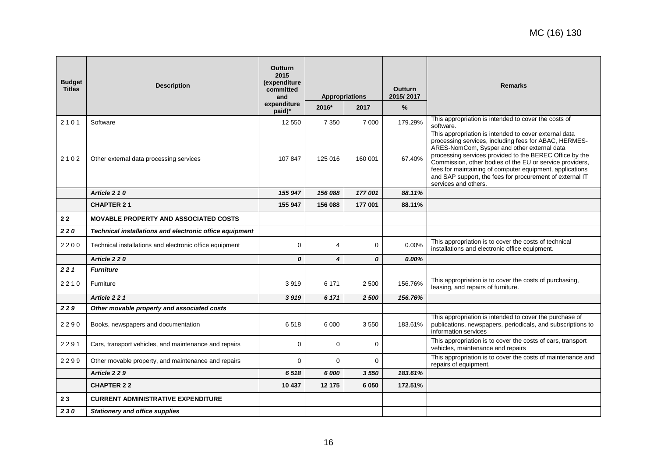| <b>Budget</b><br><b>Titles</b> | <b>Description</b>                                      | <b>Outturn</b><br>2015<br>(expenditure<br>committed<br>and<br>expenditure | <b>Appropriations</b> |             | <b>Outturn</b><br>2015/2017 | <b>Remarks</b>                                                                                                                                                                                                                                                                                                                                                                                                                       |
|--------------------------------|---------------------------------------------------------|---------------------------------------------------------------------------|-----------------------|-------------|-----------------------------|--------------------------------------------------------------------------------------------------------------------------------------------------------------------------------------------------------------------------------------------------------------------------------------------------------------------------------------------------------------------------------------------------------------------------------------|
|                                |                                                         | paid)*                                                                    | 2016*                 | 2017        | $\frac{9}{6}$               |                                                                                                                                                                                                                                                                                                                                                                                                                                      |
| 2101                           | Software                                                | 12 550                                                                    | 7 3 5 0               | 7 0 0 0     | 179.29%                     | This appropriation is intended to cover the costs of<br>software.                                                                                                                                                                                                                                                                                                                                                                    |
| 2102                           | Other external data processing services                 | 107 847                                                                   | 125 016               | 160 001     | 67.40%                      | This appropriation is intended to cover external data<br>processing services, including fees for ABAC, HERMES-<br>ARES-NomCom, Sysper and other external data<br>processing services provided to the BEREC Office by the<br>Commission, other bodies of the EU or service providers,<br>fees for maintaining of computer equipment, applications<br>and SAP support, the fees for procurement of external IT<br>services and others. |
|                                | Article 2 1 0                                           | 155 947                                                                   | 156 088               | 177 001     | 88.11%                      |                                                                                                                                                                                                                                                                                                                                                                                                                                      |
|                                | <b>CHAPTER 21</b>                                       | 155 947                                                                   | 156 088               | 177 001     | 88.11%                      |                                                                                                                                                                                                                                                                                                                                                                                                                                      |
| 22                             | <b>MOVABLE PROPERTY AND ASSOCIATED COSTS</b>            |                                                                           |                       |             |                             |                                                                                                                                                                                                                                                                                                                                                                                                                                      |
| 220                            | Technical installations and electronic office equipment |                                                                           |                       |             |                             |                                                                                                                                                                                                                                                                                                                                                                                                                                      |
| 2200                           | Technical installations and electronic office equipment | $\Omega$                                                                  | 4                     | $\mathbf 0$ | $0.00\%$                    | This appropriation is to cover the costs of technical<br>installations and electronic office equipment.                                                                                                                                                                                                                                                                                                                              |
|                                | Article 2 2 0                                           | 0                                                                         | 4                     | 0           | $0.00\%$                    |                                                                                                                                                                                                                                                                                                                                                                                                                                      |
| 221                            | <b>Furniture</b>                                        |                                                                           |                       |             |                             |                                                                                                                                                                                                                                                                                                                                                                                                                                      |
| 2210                           | Furniture                                               | 3919                                                                      | 6 171                 | 2 500       | 156.76%                     | This appropriation is to cover the costs of purchasing,<br>leasing, and repairs of furniture.                                                                                                                                                                                                                                                                                                                                        |
|                                | Article 221                                             | 3919                                                                      | 6 171                 | 2 500       | 156.76%                     |                                                                                                                                                                                                                                                                                                                                                                                                                                      |
| 229                            | Other movable property and associated costs             |                                                                           |                       |             |                             |                                                                                                                                                                                                                                                                                                                                                                                                                                      |
| 2290                           | Books, newspapers and documentation                     | 6518                                                                      | 6 0 0 0               | 3550        | 183.61%                     | This appropriation is intended to cover the purchase of<br>publications, newspapers, periodicals, and subscriptions to<br>information services                                                                                                                                                                                                                                                                                       |
| 2291                           | Cars, transport vehicles, and maintenance and repairs   | $\mathbf 0$                                                               | $\Omega$              | $\mathbf 0$ |                             | This appropriation is to cover the costs of cars, transport<br>vehicles, maintenance and repairs                                                                                                                                                                                                                                                                                                                                     |
| 2299                           | Other movable property, and maintenance and repairs     | $\Omega$                                                                  | $\Omega$              | $\Omega$    |                             | This appropriation is to cover the costs of maintenance and<br>repairs of equipment.                                                                                                                                                                                                                                                                                                                                                 |
|                                | Article 2 2 9                                           | 6518                                                                      | 6 000                 | 3 5 5 0     | 183.61%                     |                                                                                                                                                                                                                                                                                                                                                                                                                                      |
|                                | <b>CHAPTER 22</b>                                       | 10 437                                                                    | 12 175                | 6 0 5 0     | 172.51%                     |                                                                                                                                                                                                                                                                                                                                                                                                                                      |
| 23                             | <b>CURRENT ADMINISTRATIVE EXPENDITURE</b>               |                                                                           |                       |             |                             |                                                                                                                                                                                                                                                                                                                                                                                                                                      |
| 230                            | <b>Stationery and office supplies</b>                   |                                                                           |                       |             |                             |                                                                                                                                                                                                                                                                                                                                                                                                                                      |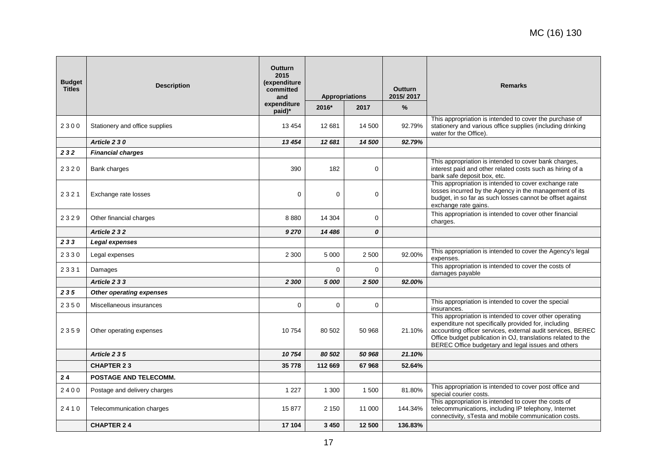| <b>Budget</b><br><b>Titles</b> | <b>Description</b>             | <b>Outturn</b><br>2015<br>(expenditure<br>committed<br>and<br>expenditure<br>paid)* | <b>Appropriations</b><br>2016*<br>2017 |             | <b>Outturn</b><br>2015/2017<br>% | <b>Remarks</b>                                                                                                                                                                                                                                                                                       |
|--------------------------------|--------------------------------|-------------------------------------------------------------------------------------|----------------------------------------|-------------|----------------------------------|------------------------------------------------------------------------------------------------------------------------------------------------------------------------------------------------------------------------------------------------------------------------------------------------------|
| 2300                           | Stationery and office supplies | 13 4 54                                                                             | 12 681                                 | 14 500      | 92.79%                           | This appropriation is intended to cover the purchase of<br>stationery and various office supplies (including drinking<br>water for the Office).                                                                                                                                                      |
|                                | Article 2 3 0                  | 13 4 54                                                                             | 12 681                                 | 14 500      | 92.79%                           |                                                                                                                                                                                                                                                                                                      |
| 232                            | <b>Financial charges</b>       |                                                                                     |                                        |             |                                  |                                                                                                                                                                                                                                                                                                      |
| 2320                           | Bank charges                   | 390                                                                                 | 182                                    | $\Omega$    |                                  | This appropriation is intended to cover bank charges,<br>interest paid and other related costs such as hiring of a<br>bank safe deposit box, etc.                                                                                                                                                    |
| 2321                           | Exchange rate losses           | $\Omega$                                                                            | $\Omega$                               | $\mathbf 0$ |                                  | This appropriation is intended to cover exchange rate<br>losses incurred by the Agency in the management of its<br>budget, in so far as such losses cannot be offset against<br>exchange rate gains.                                                                                                 |
| 2329                           | Other financial charges        | 8880                                                                                | 14 304                                 | 0           |                                  | This appropriation is intended to cover other financial<br>charges.                                                                                                                                                                                                                                  |
|                                | Article 232                    | 9 2 7 0                                                                             | 14 486                                 | 0           |                                  |                                                                                                                                                                                                                                                                                                      |
| 233                            | Legal expenses                 |                                                                                     |                                        |             |                                  |                                                                                                                                                                                                                                                                                                      |
| 2330                           | Legal expenses                 | 2 3 0 0                                                                             | 5 0 0 0                                | 2 500       | 92.00%                           | This appropriation is intended to cover the Agency's legal<br>expenses.                                                                                                                                                                                                                              |
| 2331                           | Damages                        |                                                                                     | $\Omega$                               | $\Omega$    |                                  | This appropriation is intended to cover the costs of<br>damages payable                                                                                                                                                                                                                              |
|                                | Article 2 3 3                  | 2 300                                                                               | 5 000                                  | 2 500       | 92.00%                           |                                                                                                                                                                                                                                                                                                      |
| 235                            | Other operating expenses       |                                                                                     |                                        |             |                                  |                                                                                                                                                                                                                                                                                                      |
| 2350                           | Miscellaneous insurances       | $\Omega$                                                                            | $\Omega$                               | $\Omega$    |                                  | This appropriation is intended to cover the special<br>insurances.                                                                                                                                                                                                                                   |
| 2359                           | Other operating expenses       | 10754                                                                               | 80 502                                 | 50 968      | 21.10%                           | This appropriation is intended to cover other operating<br>expenditure not specifically provided for, including<br>accounting officer services, external audit services, BEREC<br>Office budget publication in OJ, translations related to the<br>BEREC Office budgetary and legal issues and others |
|                                | Article 2 3 5                  | 10754                                                                               | 80 502                                 | 50 968      | 21.10%                           |                                                                                                                                                                                                                                                                                                      |
|                                | <b>CHAPTER 23</b>              | 35 778                                                                              | 112 669                                | 67968       | 52.64%                           |                                                                                                                                                                                                                                                                                                      |
| 24                             | POSTAGE AND TELECOMM.          |                                                                                     |                                        |             |                                  |                                                                                                                                                                                                                                                                                                      |
| 2400                           | Postage and delivery charges   | 1 2 2 7                                                                             | 1 300                                  | 1 500       | 81.80%                           | This appropriation is intended to cover post office and<br>special courier costs.                                                                                                                                                                                                                    |
| 2410                           | Telecommunication charges      | 15 877                                                                              | 2 1 5 0                                | 11 000      | 144.34%                          | This appropriation is intended to cover the costs of<br>telecommunications, including IP telephony, Internet<br>connectivity, sTesta and mobile communication costs.                                                                                                                                 |
|                                | <b>CHAPTER 24</b>              | 17 104                                                                              | 3 4 5 0                                | 12 500      | 136.83%                          |                                                                                                                                                                                                                                                                                                      |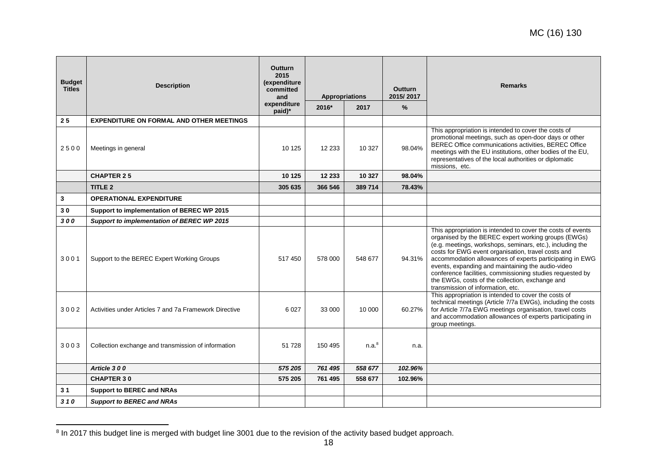| <b>Budget</b><br><b>Titles</b> | <b>Description</b>                                     | <b>Outturn</b><br>2015<br>(expenditure<br>committed<br>and<br>expenditure<br>paid)* | 2016*    | <b>Appropriations</b><br>2017 | <b>Outturn</b><br>2015/2017<br>$\frac{9}{6}$ | <b>Remarks</b>                                                                                                                                                                                                                                                                                                                                                                                                                                                                                              |
|--------------------------------|--------------------------------------------------------|-------------------------------------------------------------------------------------|----------|-------------------------------|----------------------------------------------|-------------------------------------------------------------------------------------------------------------------------------------------------------------------------------------------------------------------------------------------------------------------------------------------------------------------------------------------------------------------------------------------------------------------------------------------------------------------------------------------------------------|
| 25                             | <b>EXPENDITURE ON FORMAL AND OTHER MEETINGS</b>        |                                                                                     |          |                               |                                              |                                                                                                                                                                                                                                                                                                                                                                                                                                                                                                             |
| 2500                           | Meetings in general                                    | 10 1 25                                                                             | 12 2 3 3 | 10 327                        | 98.04%                                       | This appropriation is intended to cover the costs of<br>promotional meetings, such as open-door days or other<br>BEREC Office communications activities, BEREC Office<br>meetings with the EU institutions, other bodies of the EU,<br>representatives of the local authorities or diplomatic<br>missions, etc.                                                                                                                                                                                             |
|                                | <b>CHAPTER 25</b>                                      | 10 125                                                                              | 12 233   | 10 327                        | 98.04%                                       |                                                                                                                                                                                                                                                                                                                                                                                                                                                                                                             |
|                                | <b>TITLE 2</b>                                         | 305 635                                                                             | 366 546  | 389 714                       | 78.43%                                       |                                                                                                                                                                                                                                                                                                                                                                                                                                                                                                             |
| 3                              | <b>OPERATIONAL EXPENDITURE</b>                         |                                                                                     |          |                               |                                              |                                                                                                                                                                                                                                                                                                                                                                                                                                                                                                             |
| 30                             | Support to implementation of BEREC WP 2015             |                                                                                     |          |                               |                                              |                                                                                                                                                                                                                                                                                                                                                                                                                                                                                                             |
| 300                            | Support to implementation of BEREC WP 2015             |                                                                                     |          |                               |                                              |                                                                                                                                                                                                                                                                                                                                                                                                                                                                                                             |
| 3001                           | Support to the BEREC Expert Working Groups             | 517 450                                                                             | 578 000  | 548 677                       | 94.31%                                       | This appropriation is intended to cover the costs of events<br>organised by the BEREC expert working groups (EWGs)<br>(e.g. meetings, workshops, seminars, etc.), including the<br>costs for EWG event organisation, travel costs and<br>accommodation allowances of experts participating in EWG<br>events, expanding and maintaining the audio-video<br>conference facilities, commissioning studies requested by<br>the EWGs, costs of the collection, exchange and<br>transmission of information, etc. |
| 3002                           | Activities under Articles 7 and 7a Framework Directive | 6 0 27                                                                              | 33 000   | 10 000                        | 60.27%                                       | This appropriation is intended to cover the costs of<br>technical meetings (Article 7/7a EWGs), including the costs<br>for Article 7/7a EWG meetings organisation, travel costs<br>and accommodation allowances of experts participating in<br>group meetings.                                                                                                                                                                                                                                              |
| 3003                           | Collection exchange and transmission of information    | 51 728                                                                              | 150 495  | n.a. <sup>8</sup>             | n.a.                                         |                                                                                                                                                                                                                                                                                                                                                                                                                                                                                                             |
|                                | Article 300                                            | 575 205                                                                             | 761 495  | 558 677                       | 102.96%                                      |                                                                                                                                                                                                                                                                                                                                                                                                                                                                                                             |
|                                | <b>CHAPTER 30</b>                                      | 575 205                                                                             | 761 495  | 558 677                       | 102.96%                                      |                                                                                                                                                                                                                                                                                                                                                                                                                                                                                                             |
| 31                             | <b>Support to BEREC and NRAs</b>                       |                                                                                     |          |                               |                                              |                                                                                                                                                                                                                                                                                                                                                                                                                                                                                                             |
| 310                            | <b>Support to BEREC and NRAs</b>                       |                                                                                     |          |                               |                                              |                                                                                                                                                                                                                                                                                                                                                                                                                                                                                                             |

 8 In 2017 this budget line is merged with budget line 3001 due to the revision of the activity based budget approach.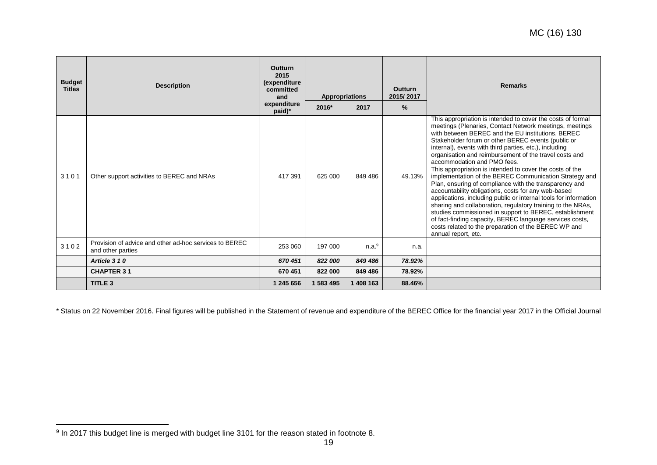| <b>Budget</b><br><b>Titles</b> | <b>Description</b>                                                          | <b>Outturn</b><br>2015<br>(expenditure<br>committed<br>and<br>expenditure | <b>Appropriations</b><br>2016*<br>2017 |                   | <b>Outturn</b><br>2015/2017<br>$\%$ | <b>Remarks</b>                                                                                                                                                                                                                                                                                                                                                                                                                                                                                                                                                                                                                                                                                                                                                                                                                                                                                                                                                       |
|--------------------------------|-----------------------------------------------------------------------------|---------------------------------------------------------------------------|----------------------------------------|-------------------|-------------------------------------|----------------------------------------------------------------------------------------------------------------------------------------------------------------------------------------------------------------------------------------------------------------------------------------------------------------------------------------------------------------------------------------------------------------------------------------------------------------------------------------------------------------------------------------------------------------------------------------------------------------------------------------------------------------------------------------------------------------------------------------------------------------------------------------------------------------------------------------------------------------------------------------------------------------------------------------------------------------------|
| 3101                           | Other support activities to BEREC and NRAs                                  | paid)*<br>417 391                                                         | 625 000                                | 849 486           | 49.13%                              | This appropriation is intended to cover the costs of formal<br>meetings (Plenaries, Contact Network meetings, meetings<br>with between BEREC and the EU institutions, BEREC<br>Stakeholder forum or other BEREC events (public or<br>internal), events with third parties, etc.), including<br>organisation and reimbursement of the travel costs and<br>accommodation and PMO fees.<br>This appropriation is intended to cover the costs of the<br>implementation of the BEREC Communication Strategy and<br>Plan, ensuring of compliance with the transparency and<br>accountability obligations, costs for any web-based<br>applications, including public or internal tools for information<br>sharing and collaboration, regulatory training to the NRAs,<br>studies commissioned in support to BEREC, establishment<br>of fact-finding capacity, BEREC language services costs,<br>costs related to the preparation of the BEREC WP and<br>annual report, etc. |
| 3102                           | Provision of advice and other ad-hoc services to BEREC<br>and other parties | 253 060                                                                   | 197 000                                | n.a. <sup>9</sup> | n.a.                                |                                                                                                                                                                                                                                                                                                                                                                                                                                                                                                                                                                                                                                                                                                                                                                                                                                                                                                                                                                      |
|                                | Article 310                                                                 | 670 451                                                                   | 822 000                                | 849 486           | 78.92%                              |                                                                                                                                                                                                                                                                                                                                                                                                                                                                                                                                                                                                                                                                                                                                                                                                                                                                                                                                                                      |
|                                | <b>CHAPTER 31</b>                                                           | 670 451                                                                   | 822 000                                | 849 486           | 78.92%                              |                                                                                                                                                                                                                                                                                                                                                                                                                                                                                                                                                                                                                                                                                                                                                                                                                                                                                                                                                                      |
|                                | TITLE <sub>3</sub>                                                          | 1 245 656                                                                 | 1 583 495                              | 1 408 163         | 88.46%                              |                                                                                                                                                                                                                                                                                                                                                                                                                                                                                                                                                                                                                                                                                                                                                                                                                                                                                                                                                                      |

\* Status on 22 November 2016. Final figures will be published in the Statement of revenue and expenditure of the BEREC Office for the financial year 2017 in the Official Journal

 9 In 2017 this budget line is merged with budget line 3101 for the reason stated in footnote 8.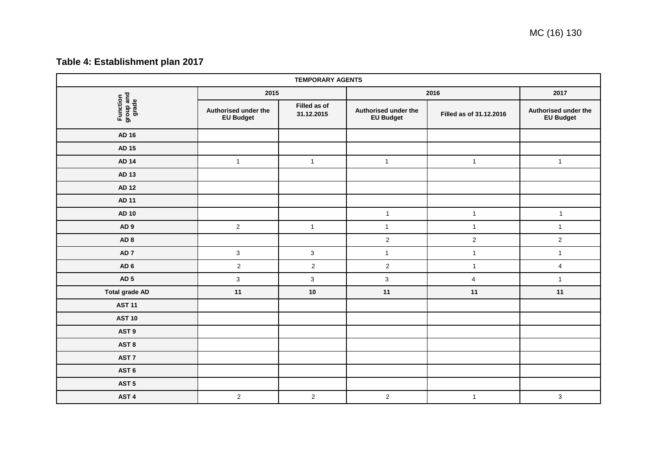# **Table 4: Establishment plan 2017**

<span id="page-19-0"></span>

| <b>TEMPORARY AGENTS</b>        |                                          |                            |                                          |                         |                                          |  |  |  |  |
|--------------------------------|------------------------------------------|----------------------------|------------------------------------------|-------------------------|------------------------------------------|--|--|--|--|
|                                | 2015                                     |                            | 2016                                     | 2017                    |                                          |  |  |  |  |
| Function<br>group and<br>grade | Authorised under the<br><b>EU Budget</b> | Filled as of<br>31.12.2015 | Authorised under the<br><b>EU Budget</b> | Filled as of 31.12.2016 | Authorised under the<br><b>EU Budget</b> |  |  |  |  |
| <b>AD 16</b>                   |                                          |                            |                                          |                         |                                          |  |  |  |  |
| <b>AD 15</b>                   |                                          |                            |                                          |                         |                                          |  |  |  |  |
| <b>AD 14</b>                   | $\overline{1}$                           | $\mathbf{1}$               | $\mathbf{1}$                             | $\mathbf{1}$            | $\mathbf{1}$                             |  |  |  |  |
| AD 13                          |                                          |                            |                                          |                         |                                          |  |  |  |  |
| <b>AD 12</b>                   |                                          |                            |                                          |                         |                                          |  |  |  |  |
| <b>AD 11</b>                   |                                          |                            |                                          |                         |                                          |  |  |  |  |
| <b>AD 10</b>                   |                                          |                            | $\mathbf{1}$                             | $\mathbf{1}$            | $\mathbf{1}$                             |  |  |  |  |
| AD <sub>9</sub>                | $\overline{2}$                           | $\mathbf{1}$               | $\mathbf{1}$                             | $\mathbf{1}$            | $\mathbf{1}$                             |  |  |  |  |
| AD <sub>8</sub>                |                                          |                            | $\mathbf 2$                              | $\sqrt{2}$              | $\overline{2}$                           |  |  |  |  |
| AD <sub>7</sub>                | $\mathbf{3}$                             | $\mathbf{3}$               | $\mathbf{1}$                             | $\mathbf{1}$            | $\mathbf{1}$                             |  |  |  |  |
| AD <sub>6</sub>                | $\overline{2}$                           | $\overline{2}$             | $\sqrt{2}$                               | $\mathbf{1}$            | $\overline{4}$                           |  |  |  |  |
| AD <sub>5</sub>                | $\mathbf{3}$                             | $\mathbf 3$                | $\mathbf{3}$                             | $\overline{4}$          | $\mathbf{1}$                             |  |  |  |  |
| <b>Total grade AD</b>          | 11                                       | $10\,$                     | 11                                       | 11                      | 11                                       |  |  |  |  |
| <b>AST 11</b>                  |                                          |                            |                                          |                         |                                          |  |  |  |  |
| <b>AST 10</b>                  |                                          |                            |                                          |                         |                                          |  |  |  |  |
| AST <sub>9</sub>               |                                          |                            |                                          |                         |                                          |  |  |  |  |
| AST <sub>8</sub>               |                                          |                            |                                          |                         |                                          |  |  |  |  |
| AST <sub>7</sub>               |                                          |                            |                                          |                         |                                          |  |  |  |  |
| AST <sub>6</sub>               |                                          |                            |                                          |                         |                                          |  |  |  |  |
| AST <sub>5</sub>               |                                          |                            |                                          |                         |                                          |  |  |  |  |
| AST <sub>4</sub>               | $\overline{c}$                           | $\overline{a}$             | $\overline{c}$                           | $\mathbf{1}$            | $\mathbf 3$                              |  |  |  |  |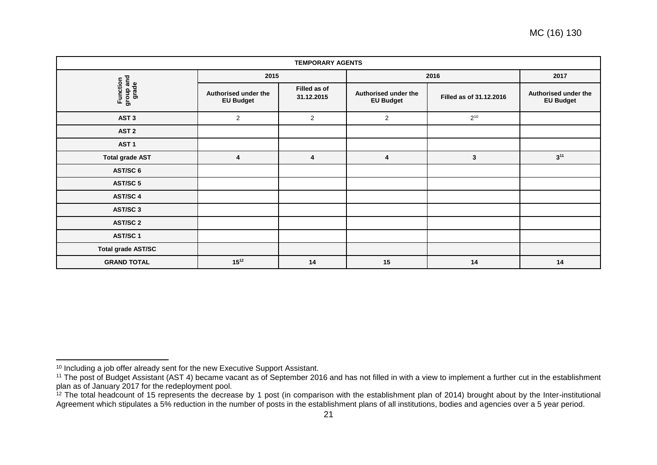| <b>TEMPORARY AGENTS</b>        |                                          |                            |                                          |                         |                                          |  |  |  |
|--------------------------------|------------------------------------------|----------------------------|------------------------------------------|-------------------------|------------------------------------------|--|--|--|
|                                | 2015                                     |                            | 2016                                     | 2017                    |                                          |  |  |  |
| Function<br>group and<br>grade | Authorised under the<br><b>EU Budget</b> | Filled as of<br>31.12.2015 | Authorised under the<br><b>EU Budget</b> | Filled as of 31.12.2016 | Authorised under the<br><b>EU Budget</b> |  |  |  |
| AST <sub>3</sub>               | $\mathbf{2}$                             | $\mathbf{2}$               | $\mathbf{2}$                             | $2^{10}$                |                                          |  |  |  |
| AST <sub>2</sub>               |                                          |                            |                                          |                         |                                          |  |  |  |
| AST <sub>1</sub>               |                                          |                            |                                          |                         |                                          |  |  |  |
| <b>Total grade AST</b>         | 4                                        | 4                          | 4                                        | $\mathbf{3}$            | $3^{11}$                                 |  |  |  |
| AST/SC 6                       |                                          |                            |                                          |                         |                                          |  |  |  |
| <b>AST/SC 5</b>                |                                          |                            |                                          |                         |                                          |  |  |  |
| AST/SC 4                       |                                          |                            |                                          |                         |                                          |  |  |  |
| AST/SC 3                       |                                          |                            |                                          |                         |                                          |  |  |  |
| <b>AST/SC 2</b>                |                                          |                            |                                          |                         |                                          |  |  |  |
| AST/SC 1                       |                                          |                            |                                          |                         |                                          |  |  |  |
| <b>Total grade AST/SC</b>      |                                          |                            |                                          |                         |                                          |  |  |  |
| <b>GRAND TOTAL</b>             | $15^{12}$                                | 14                         | 15                                       | 14                      | 14                                       |  |  |  |

 $\overline{a}$ 

<sup>&</sup>lt;sup>10</sup> Including a job offer already sent for the new Executive Support Assistant.

<sup>&</sup>lt;sup>11</sup> The post of Budget Assistant (AST 4) became vacant as of September 2016 and has not filled in with a view to implement a further cut in the establishment plan as of January 2017 for the redeployment pool.

<sup>&</sup>lt;sup>12</sup> The total headcount of 15 represents the decrease by 1 post (in comparison with the establishment plan of 2014) brought about by the Inter-institutional Agreement which stipulates a 5% reduction in the number of posts in the establishment plans of all institutions, bodies and agencies over a 5 year period.